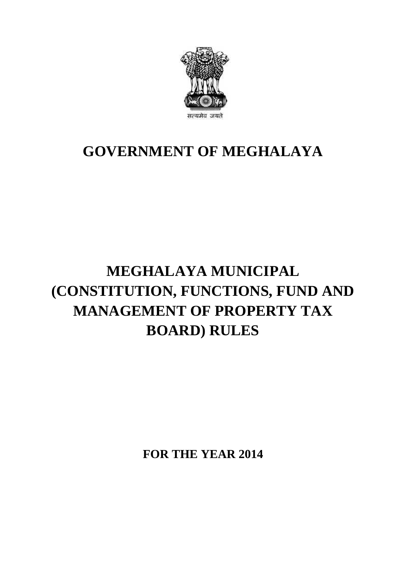

## **GOVERNMENT OF MEGHALAYA**

## **MEGHALAYA MUNICIPAL (CONSTITUTION, FUNCTIONS, FUND AND MANAGEMENT OF PROPERTY TAX BOARD) RULES**

**FOR THE YEAR 2014**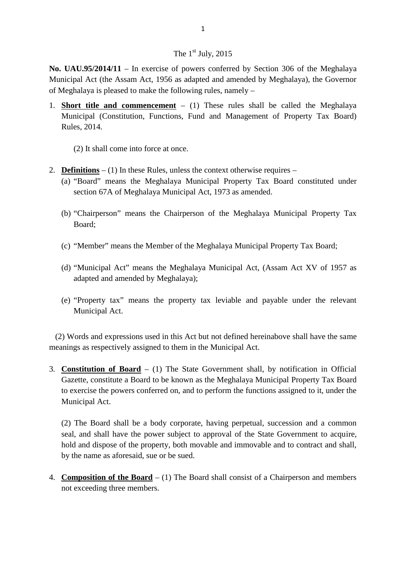## The  $1<sup>st</sup>$  July, 2015

**No. UAU.95/2014/11** – In exercise of powers conferred by Section 306 of the Meghalaya Municipal Act (the Assam Act, 1956 as adapted and amended by Meghalaya), the Governor of Meghalaya is pleased to make the following rules, namely –

1. **Short title and commencement**  $- (1)$  These rules shall be called the Meghalaya Municipal (Constitution, Functions, Fund and Management of Property Tax Board) Rules, 2014.

(2) It shall come into force at once.

- 2. **Definitions**  $(1)$  In these Rules, unless the context otherwise requires  $-$ 
	- (a) "Board" means the Meghalaya Municipal Property Tax Board constituted under section 67A of Meghalaya Municipal Act, 1973 as amended.
	- (b) "Chairperson" means the Chairperson of the Meghalaya Municipal Property Tax Board;
	- (c) "Member" means the Member of the Meghalaya Municipal Property Tax Board;
	- (d) "Municipal Act" means the Meghalaya Municipal Act, (Assam Act XV of 1957 as adapted and amended by Meghalaya);
	- (e) "Property tax" means the property tax leviable and payable under the relevant Municipal Act.

(2) Words and expressions used in this Act but not defined hereinabove shall have the same meanings as respectively assigned to them in the Municipal Act.

3. **Constitution of Board** – (1) The State Government shall, by notification in Official Gazette, constitute a Board to be known as the Meghalaya Municipal Property Tax Board to exercise the powers conferred on, and to perform the functions assigned to it, under the Municipal Act.

(2) The Board shall be a body corporate, having perpetual, succession and a common seal, and shall have the power subject to approval of the State Government to acquire, hold and dispose of the property, both movable and immovable and to contract and shall, by the name as aforesaid, sue or be sued.

4. **Composition of the Board** – (1) The Board shall consist of a Chairperson and members not exceeding three members.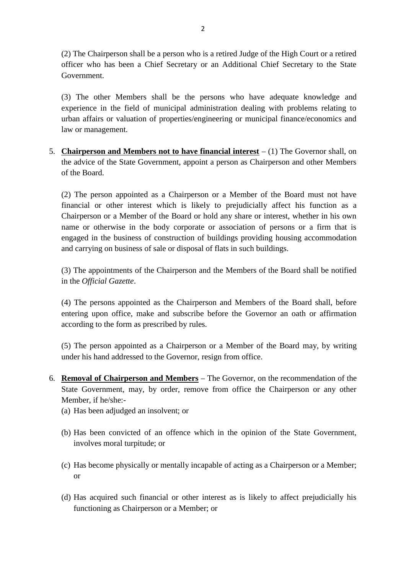(2) The Chairperson shall be a person who is a retired Judge of the High Court or a retired officer who has been a Chief Secretary or an Additional Chief Secretary to the State Government.

(3) The other Members shall be the persons who have adequate knowledge and experience in the field of municipal administration dealing with problems relating to urban affairs or valuation of properties/engineering or municipal finance/economics and law or management.

5. **Chairperson and Members not to have financial interest**  $- (1)$  The Governor shall, on the advice of the State Government, appoint a person as Chairperson and other Members of the Board.

(2) The person appointed as a Chairperson or a Member of the Board must not have financial or other interest which is likely to prejudicially affect his function as a Chairperson or a Member of the Board or hold any share or interest, whether in his own name or otherwise in the body corporate or association of persons or a firm that is engaged in the business of construction of buildings providing housing accommodation and carrying on business of sale or disposal of flats in such buildings.

(3) The appointments of the Chairperson and the Members of the Board shall be notified in the *Official Gazette*.

(4) The persons appointed as the Chairperson and Members of the Board shall, before entering upon office, make and subscribe before the Governor an oath or affirmation according to the form as prescribed by rules.

(5) The person appointed as a Chairperson or a Member of the Board may, by writing under his hand addressed to the Governor, resign from office.

- 6. **Removal of Chairperson and Members**  The Governor, on the recommendation of the State Government, may, by order, remove from office the Chairperson or any other Member, if he/she:  $\overline{a}$ 
	- (a) Has been adjudged an insolvent; or
	- (b) Has been convicted of an offence which in the opinion of the State Government, involves moral turpitude; or
	- (c) Has become physically or mentally incapable of acting as a Chairperson or a Member; or
	- (d) Has acquired such financial or other interest as is likely to affect prejudicially his functioning as Chairperson or a Member; or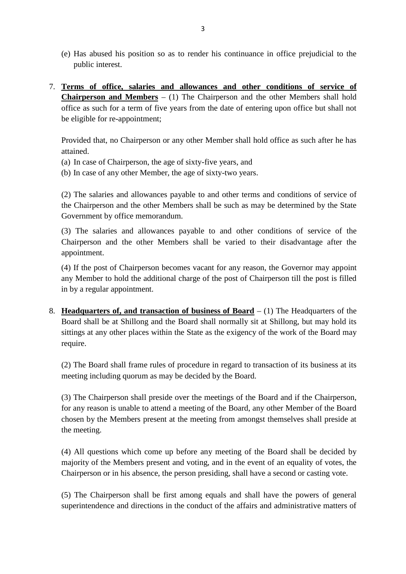- (e) Has abused his position so as to render his continuance in office prejudicial to the public interest.
- 7. **Terms of office, salaries and allowances and other conditions of service of Chairperson and Members** – (1) The Chairperson and the other Members shall hold office as such for a term of five years from the date of entering upon office but shall not be eligible for re-appointment;

Provided that, no Chairperson or any other Member shall hold office as such after he has attained.

- (a) In case of Chairperson, the age of sixty-five years, and
- (b) In case of any other Member, the age of sixty-two years.

(2) The salaries and allowances payable to and other terms and conditions of service of the Chairperson and the other Members shall be such as may be determined by the State Government by office memorandum.

(3) The salaries and allowances payable to and other conditions of service of the Chairperson and the other Members shall be varied to their disadvantage after the appointment.

(4) If the post of Chairperson becomes vacant for any reason, the Governor may appoint any Member to hold the additional charge of the post of Chairperson till the post is filled in by a regular appointment.

8. **Headquarters of, and transaction of business of Board** – (1) The Headquarters of the Board shall be at Shillong and the Board shall normally sit at Shillong, but may hold its sittings at any other places within the State as the exigency of the work of the Board may require.

(2) The Board shall frame rules of procedure in regard to transaction of its business at its meeting including quorum as may be decided by the Board.

(3) The Chairperson shall preside over the meetings of the Board and if the Chairperson, for any reason is unable to attend a meeting of the Board, any other Member of the Board chosen by the Members present at the meeting from amongst themselves shall preside at the meeting.

(4) All questions which come up before any meeting of the Board shall be decided by majority of the Members present and voting, and in the event of an equality of votes, the Chairperson or in his absence, the person presiding, shall have a second or casting vote.

(5) The Chairperson shall be first among equals and shall have the powers of general superintendence and directions in the conduct of the affairs and administrative matters of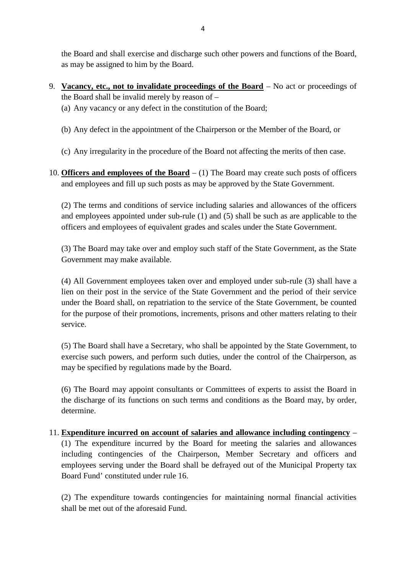the Board and shall exercise and discharge such other powers and functions of the Board, as may be assigned to him by the Board.

- 9. **Vacancy, etc., not to invalidate proceedings of the Board** No act or proceedings of the Board shall be invalid merely by reason of –
	- (a) Any vacancy or any defect in the constitution of the Board;
	- (b) Any defect in the appointment of the Chairperson or the Member of the Board, or
	- (c) Any irregularity in the procedure of the Board not affecting the merits of then case.
- 10. **Officers and employees of the Board**  (1) The Board may create such posts of officers and employees and fill up such posts as may be approved by the State Government.

(2) The terms and conditions of service including salaries and allowances of the officers and employees appointed under sub-rule (1) and (5) shall be such as are applicable to the officers and employees of equivalent grades and scales under the State Government.

(3) The Board may take over and employ such staff of the State Government, as the State Government may make available.

(4) All Government employees taken over and employed under sub-rule (3) shall have a lien on their post in the service of the State Government and the period of their service under the Board shall, on repatriation to the service of the State Government, be counted for the purpose of their promotions, increments, prisons and other matters relating to their service.

(5) The Board shall have a Secretary, who shall be appointed by the State Government, to exercise such powers, and perform such duties, under the control of the Chairperson, as may be specified by regulations made by the Board.

(6) The Board may appoint consultants or Committees of experts to assist the Board in the discharge of its functions on such terms and conditions as the Board may, by order, determine.

11. **Expenditure incurred on account of salaries and allowance including contingency** – (1) The expenditure incurred by the Board for meeting the salaries and allowances including contingencies of the Chairperson, Member Secretary and officers and employees serving under the Board shall be defrayed out of the Municipal Property tax Board Fund' constituted under rule 16.

(2) The expenditure towards contingencies for maintaining normal financial activities shall be met out of the aforesaid Fund.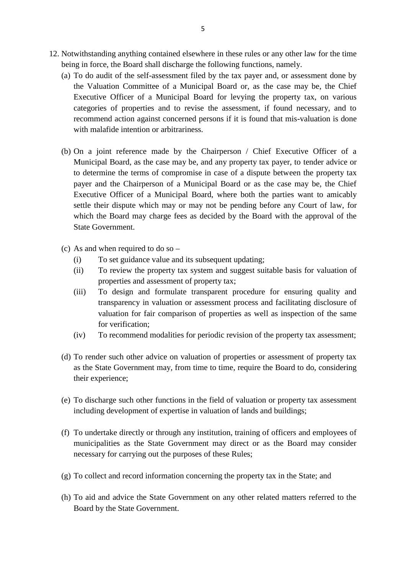- 12. Notwithstanding anything contained elsewhere in these rules or any other law for the time being in force, the Board shall discharge the following functions, namely.
	- (a) To do audit of the self-assessment filed by the tax payer and, or assessment done by the Valuation Committee of a Municipal Board or, as the case may be, the Chief Executive Officer of a Municipal Board for levying the property tax, on various categories of properties and to revise the assessment, if found necessary, and to recommend action against concerned persons if it is found that mis-valuation is done with malafide intention or arbitrariness.
	- (b) On a joint reference made by the Chairperson / Chief Executive Officer of a Municipal Board, as the case may be, and any property tax payer, to tender advice or to determine the terms of compromise in case of a dispute between the property tax payer and the Chairperson of a Municipal Board or as the case may be, the Chief Executive Officer of a Municipal Board, where both the parties want to amicably settle their dispute which may or may not be pending before any Court of law, for which the Board may charge fees as decided by the Board with the approval of the State Government.
	- (c) As and when required to do so
		- (i) To set guidance value and its subsequent updating;
		- (ii) To review the property tax system and suggest suitable basis for valuation of properties and assessment of property tax;
		- (iii) To design and formulate transparent procedure for ensuring quality and transparency in valuation or assessment process and facilitating disclosure of valuation for fair comparison of properties as well as inspection of the same for verification;
		- (iv) To recommend modalities for periodic revision of the property tax assessment;
	- (d) To render such other advice on valuation of properties or assessment of property tax as the State Government may, from time to time, require the Board to do, considering their experience;
	- (e) To discharge such other functions in the field of valuation or property tax assessment including development of expertise in valuation of lands and buildings;
	- (f) To undertake directly or through any institution, training of officers and employees of municipalities as the State Government may direct or as the Board may consider necessary for carrying out the purposes of these Rules;
	- (g) To collect and record information concerning the property tax in the State; and
	- (h) To aid and advice the State Government on any other related matters referred to the Board by the State Government.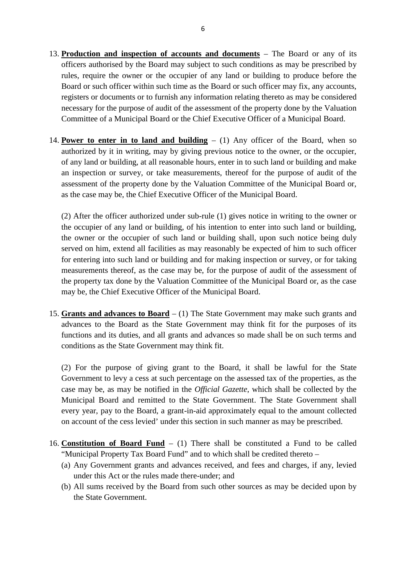- 13. **Production and inspection of accounts and documents**  The Board or any of its officers authorised by the Board may subject to such conditions as may be prescribed by rules, require the owner or the occupier of any land or building to produce before the Board or such officer within such time as the Board or such officer may fix, any accounts, registers or documents or to furnish any information relating thereto as may be considered necessary for the purpose of audit of the assessment of the property done by the Valuation Committee of a Municipal Board or the Chief Executive Officer of a Municipal Board.
- 14. **Power to enter in to land and building**  (1) Any officer of the Board, when so authorized by it in writing, may by giving previous notice to the owner, or the occupier, of any land or building, at all reasonable hours, enter in to such land or building and make an inspection or survey, or take measurements, thereof for the purpose of audit of the assessment of the property done by the Valuation Committee of the Municipal Board or, as the case may be, the Chief Executive Officer of the Municipal Board.

(2) After the officer authorized under sub-rule (1) gives notice in writing to the owner or the occupier of any land or building, of his intention to enter into such land or building, the owner or the occupier of such land or building shall, upon such notice being duly served on him, extend all facilities as may reasonably be expected of him to such officer for entering into such land or building and for making inspection or survey, or for taking measurements thereof, as the case may be, for the purpose of audit of the assessment of the property tax done by the Valuation Committee of the Municipal Board or, as the case may be, the Chief Executive Officer of the Municipal Board.

15. **Grants and advances to Board** – (1) The State Government may make such grants and advances to the Board as the State Government may think fit for the purposes of its functions and its duties, and all grants and advances so made shall be on such terms and conditions as the State Government may think fit.

(2) For the purpose of giving grant to the Board, it shall be lawful for the State Government to levy a cess at such percentage on the assessed tax of the properties, as the case may be, as may be notified in the *Official Gazette*, which shall be collected by the Municipal Board and remitted to the State Government. The State Government shall every year, pay to the Board, a grant-in-aid approximately equal to the amount collected on account of the cess levied' under this section in such manner as may be prescribed.

- 16. **Constitution of Board Fund**  (1) There shall be constituted a Fund to be called "Municipal Property Tax Board Fund" and to which shall be credited thereto –
	- (a) Any Government grants and advances received, and fees and charges, if any, levied under this Act or the rules made there-under; and
	- (b) All sums received by the Board from such other sources as may be decided upon by the State Government.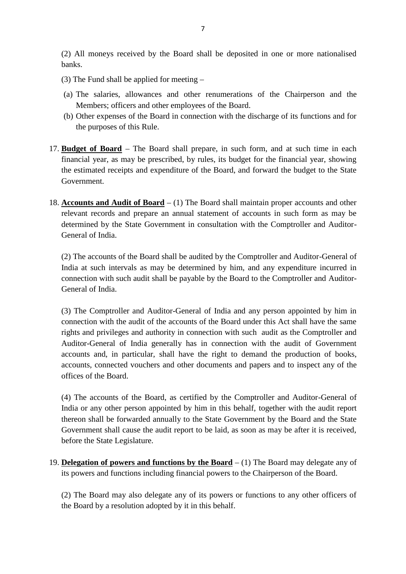(2) All moneys received by the Board shall be deposited in one or more nationalised banks.

- (3) The Fund shall be applied for meeting –
- (a) The salaries, allowances and other renumerations of the Chairperson and the Members; officers and other employees of the Board.
- (b) Other expenses of the Board in connection with the discharge of its functions and for the purposes of this Rule.
- 17. **Budget of Board**  The Board shall prepare, in such form, and at such time in each financial year, as may be prescribed, by rules, its budget for the financial year, showing the estimated receipts and expenditure of the Board, and forward the budget to the State Government.
- 18. **Accounts and Audit of Board**  (1) The Board shall maintain proper accounts and other relevant records and prepare an annual statement of accounts in such form as may be determined by the State Government in consultation with the Comptroller and Auditor-General of India.

(2) The accounts of the Board shall be audited by the Comptroller and Auditor-General of India at such intervals as may be determined by him, and any expenditure incurred in connection with such audit shall be payable by the Board to the Comptroller and Auditor-General of India.

(3) The Comptroller and Auditor-General of India and any person appointed by him in connection with the audit of the accounts of the Board under this Act shall have the same rights and privileges and authority in connection with such audit as the Comptroller and Auditor-General of India generally has in connection with the audit of Government accounts and, in particular, shall have the right to demand the production of books, accounts, connected vouchers and other documents and papers and to inspect any of the offices of the Board.

(4) The accounts of the Board, as certified by the Comptroller and Auditor-General of India or any other person appointed by him in this behalf, together with the audit report thereon shall be forwarded annually to the State Government by the Board and the State Government shall cause the audit report to be laid, as soon as may be after it is received, before the State Legislature.

19. **Delegation of powers and functions by the Board** – (1) The Board may delegate any of its powers and functions including financial powers to the Chairperson of the Board.

(2) The Board may also delegate any of its powers or functions to any other officers of the Board by a resolution adopted by it in this behalf.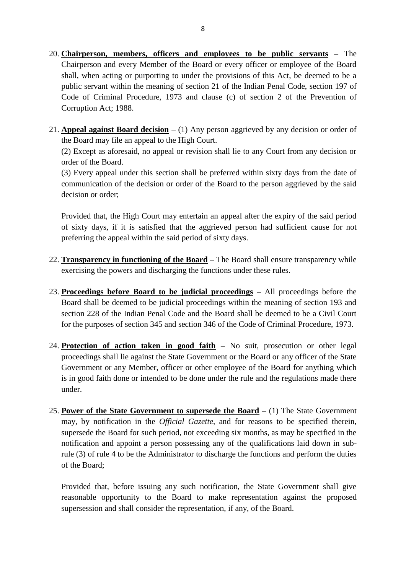- 20. **Chairperson, members, officers and employees to be public servants**  The Chairperson and every Member of the Board or every officer or employee of the Board shall, when acting or purporting to under the provisions of this Act, be deemed to be a public servant within the meaning of section 21 of the Indian Penal Code, section 197 of Code of Criminal Procedure, 1973 and clause (c) of section 2 of the Prevention of Corruption Act; 1988.
- 21. **Appeal against Board decision**  (1) Any person aggrieved by any decision or order of the Board may file an appeal to the High Court.

(2) Except as aforesaid, no appeal or revision shall lie to any Court from any decision or order of the Board.

(3) Every appeal under this section shall be preferred within sixty days from the date of communication of the decision or order of the Board to the person aggrieved by the said decision or order;

Provided that, the High Court may entertain an appeal after the expiry of the said period of sixty days, if it is satisfied that the aggrieved person had sufficient cause for not preferring the appeal within the said period of sixty days.

- 22. **Transparency in functioning of the Board**  The Board shall ensure transparency while exercising the powers and discharging the functions under these rules.
- 23. **Proceedings before Board to be judicial proceedings**  All proceedings before the Board shall be deemed to be judicial proceedings within the meaning of section 193 and section 228 of the Indian Penal Code and the Board shall be deemed to be a Civil Court for the purposes of section 345 and section 346 of the Code of Criminal Procedure, 1973.
- 24. **Protection of action taken in good faith**  No suit, prosecution or other legal proceedings shall lie against the State Government or the Board or any officer of the State Government or any Member, officer or other employee of the Board for anything which is in good faith done or intended to be done under the rule and the regulations made there under.
- 25. **Power of the State Government to supersede the Board**  (1) The State Government may, by notification in the *Official Gazette*, and for reasons to be specified therein, supersede the Board for such period, not exceeding six months, as may be specified in the notification and appoint a person possessing any of the qualifications laid down in subrule (3) of rule 4 to be the Administrator to discharge the functions and perform the duties of the Board;

Provided that, before issuing any such notification, the State Government shall give reasonable opportunity to the Board to make representation against the proposed supersession and shall consider the representation, if any, of the Board.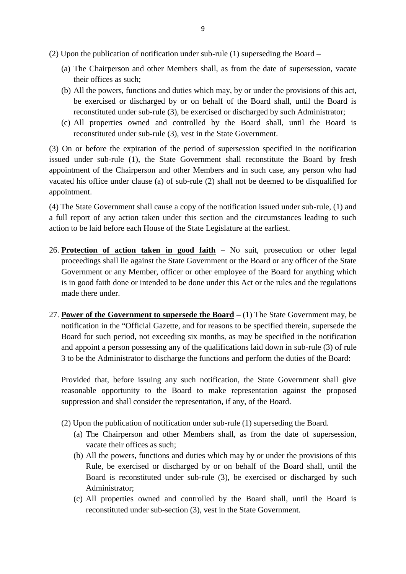- (2) Upon the publication of notification under sub-rule (1) superseding the Board
	- (a) The Chairperson and other Members shall, as from the date of supersession, vacate their offices as such;
	- (b) All the powers, functions and duties which may, by or under the provisions of this act, be exercised or discharged by or on behalf of the Board shall, until the Board is reconstituted under sub-rule (3), be exercised or discharged by such Administrator;
	- (c) All properties owned and controlled by the Board shall, until the Board is reconstituted under sub-rule (3), vest in the State Government.

(3) On or before the expiration of the period of supersession specified in the notification issued under sub-rule (1), the State Government shall reconstitute the Board by fresh appointment of the Chairperson and other Members and in such case, any person who had vacated his office under clause (a) of sub-rule (2) shall not be deemed to be disqualified for appointment.

(4) The State Government shall cause a copy of the notification issued under sub-rule, (1) and a full report of any action taken under this section and the circumstances leading to such action to be laid before each House of the State Legislature at the earliest.

- 26. **Protection of action taken in good faith**  No suit, prosecution or other legal proceedings shall lie against the State Government or the Board or any officer of the State Government or any Member, officer or other employee of the Board for anything which is in good faith done or intended to be done under this Act or the rules and the regulations made there under.
- 27. **Power of the Government to supersede the Board**  (1) The State Government may, be notification in the "Official Gazette, and for reasons to be specified therein, supersede the Board for such period, not exceeding six months, as may be specified in the notification and appoint a person possessing any of the qualifications laid down in sub-rule (3) of rule 3 to be the Administrator to discharge the functions and perform the duties of the Board:

Provided that, before issuing any such notification, the State Government shall give reasonable opportunity to the Board to make representation against the proposed suppression and shall consider the representation, if any, of the Board.

- (2) Upon the publication of notification under sub-rule (1) superseding the Board.
	- (a) The Chairperson and other Members shall, as from the date of supersession, vacate their offices as such;
	- (b) All the powers, functions and duties which may by or under the provisions of this Rule, be exercised or discharged by or on behalf of the Board shall, until the Board is reconstituted under sub-rule (3), be exercised or discharged by such Administrator;
	- (c) All properties owned and controlled by the Board shall, until the Board is reconstituted under sub-section (3), vest in the State Government.